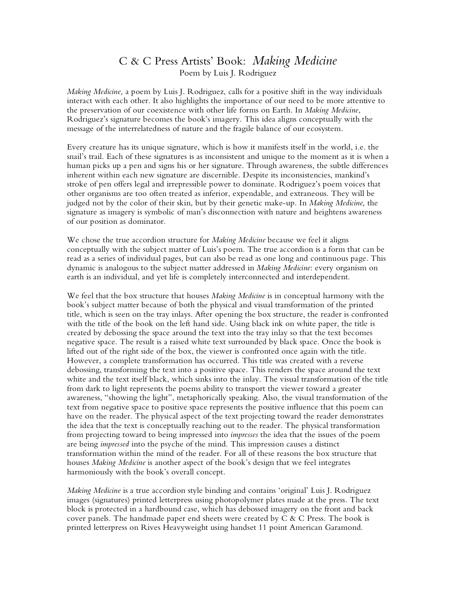## C & C Press Artists' Book: *Making Medicine* Poem by Luis J. Rodriguez

*Making Medicine,* a poem by Luis J. Rodriguez, calls for a positive shift in the way individuals interact with each other. It also highlights the importance of our need to be more attentive to the preservation of our coexistence with other life forms on Earth. In *Making Medicine*, Rodriguez's signature becomes the book's imagery. This idea aligns conceptually with the message of the interrelatedness of nature and the fragile balance of our ecosystem.

Every creature has its unique signature, which is how it manifests itself in the world, i.e. the snail's trail. Each of these signatures is as inconsistent and unique to the moment as it is when a human picks up a pen and signs his or her signature. Through awareness, the subtle differences inherent within each new signature are discernible. Despite its inconsistencies, mankind's stroke of pen offers legal and irrepressible power to dominate. Rodriguez's poem voices that other organisms are too often treated as inferior, expendable, and extraneous. They will be judged not by the color of their skin, but by their genetic make-up. In *Making Medicine*, the signature as imagery is symbolic of man's disconnection with nature and heightens awareness of our position as dominator.

We chose the true accordion structure for *Making Medicine* because we feel it aligns conceptually with the subject matter of Luis's poem. The true accordion is a form that can be read as a series of individual pages, but can also be read as one long and continuous page. This dynamic is analogous to the subject matter addressed in *Making Medicine*: every organism on earth is an individual, and yet life is completely interconnected and interdependent.

We feel that the box structure that houses *Making Medicine* is in conceptual harmony with the book's subject matter because of both the physical and visual transformation of the printed title, which is seen on the tray inlays. After opening the box structure, the reader is confronted with the title of the book on the left hand side. Using black ink on white paper, the title is created by debossing the space around the text into the tray inlay so that the text becomes negative space. The result is a raised white text surrounded by black space. Once the book is lifted out of the right side of the box, the viewer is confronted once again with the title. However, a complete transformation has occurred. This title was created with a reverse debossing, transforming the text into a positive space. This renders the space around the text white and the text itself black, which sinks into the inlay. The visual transformation of the title from dark to light represents the poems ability to transport the viewer toward a greater awareness, "showing the light", metaphorically speaking. Also, the visual transformation of the text from negative space to positive space represents the positive influence that this poem can have on the reader. The physical aspect of the text projecting toward the reader demonstrates the idea that the text is conceptually reaching out to the reader. The physical transformation from projecting toward to being impressed into *impresses* the idea that the issues of the poem are being *impressed* into the psyche of the mind. This impression causes a distinct transformation within the mind of the reader. For all of these reasons the box structure that houses *Making Medicine* is another aspect of the book's design that we feel integrates harmoniously with the book's overall concept.

*Making Medicine* is a true accordion style binding and contains 'original' Luis J. Rodriguez images (signatures) printed letterpress using photopolymer plates made at the press. The text block is protected in a hardbound case, which has debossed imagery on the front and back cover panels. The handmade paper end sheets were created by  $C \& C$  Press. The book is printed letterpress on Rives Heavyweight using handset 11 point American Garamond.